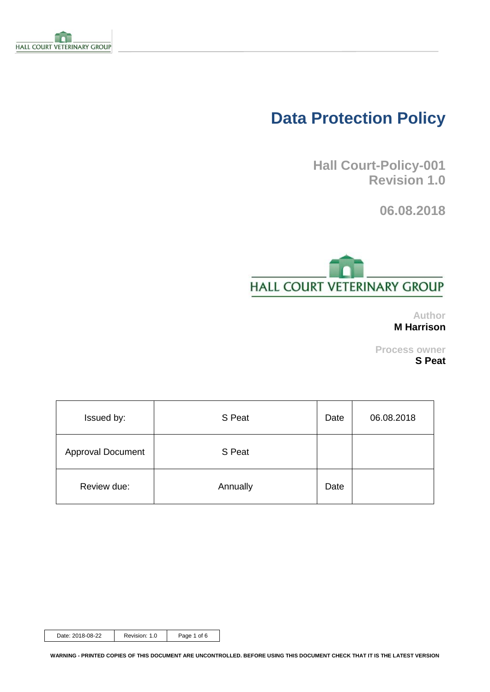

# **Data Protection Policy**

**Hall Court-Policy-001 Revision 1.0**

**06.08.2018**



**Author M Harrison**

**Process owner S Peat**

| Issued by:               | S Peat   | Date | 06.08.2018 |
|--------------------------|----------|------|------------|
| <b>Approval Document</b> | S Peat   |      |            |
| Review due:              | Annually | Date |            |

Date: 2018-08-22 | Revision: 1.0 | Page 1 of 6

**WARNING - PRINTED COPIES OF THIS DOCUMENT ARE UNCONTROLLED. BEFORE USING THIS DOCUMENT CHECK THAT IT IS THE LATEST VERSION**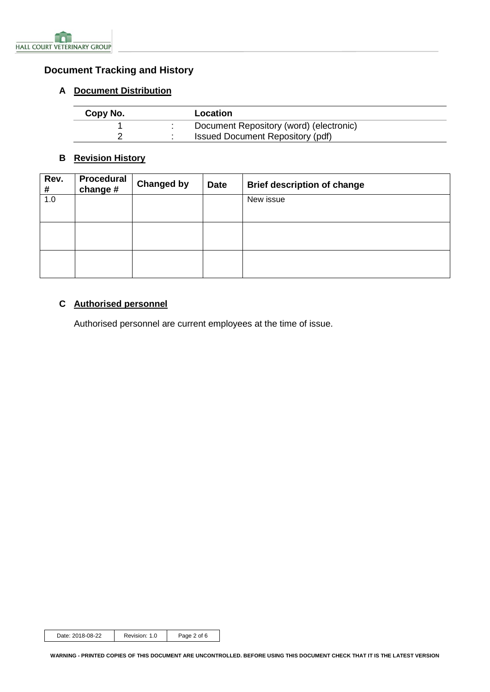

# <span id="page-1-0"></span>**Document Tracking and History**

#### <span id="page-1-1"></span>**A Document Distribution**

| Copy No. | Location                                |
|----------|-----------------------------------------|
|          | Document Repository (word) (electronic) |
|          | <b>Issued Document Repository (pdf)</b> |

## <span id="page-1-2"></span>**B Revision History**

| Rev.<br># | Procedural<br>change # | <b>Changed by</b> | <b>Date</b> | <b>Brief description of change</b> |
|-----------|------------------------|-------------------|-------------|------------------------------------|
| 1.0       |                        |                   |             | New issue                          |
|           |                        |                   |             |                                    |
|           |                        |                   |             |                                    |

# <span id="page-1-3"></span>**C Authorised personnel**

Authorised personnel are current employees at the time of issue.

Date: 2018-08-22 Revision: 1.0 Page 2 of 6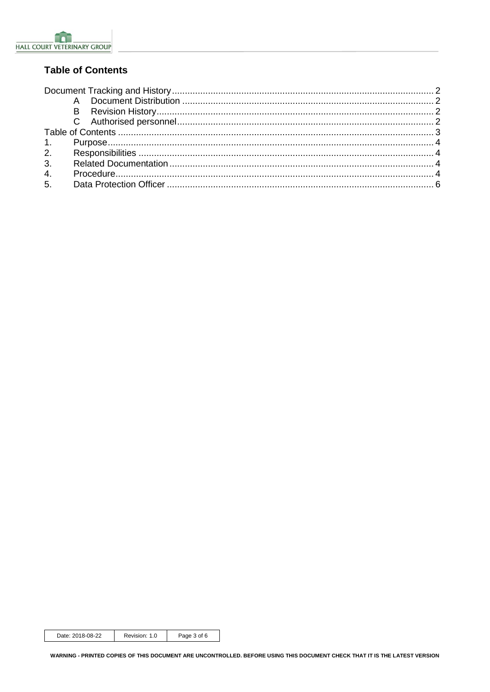

# <span id="page-2-0"></span>**Table of Contents**

| 3 <sub>l</sub> |  |
|----------------|--|
| 4.             |  |
| 5.             |  |
|                |  |

Date: 2018-08-22 Revision: 1.0 Page 3 of 6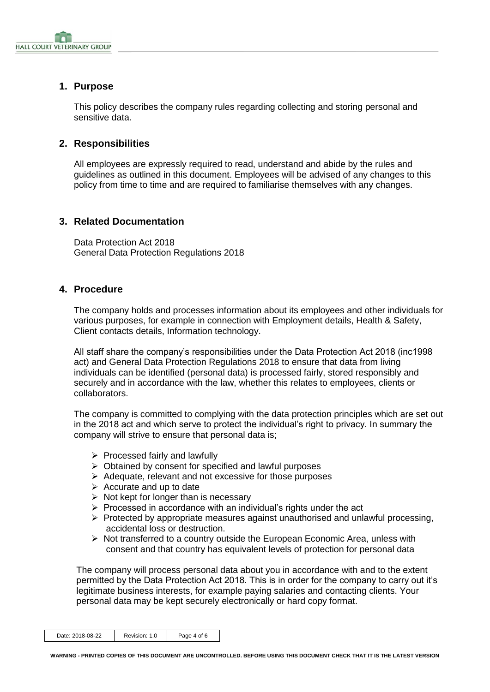

### <span id="page-3-0"></span>**1. Purpose**

This policy describes the company rules regarding collecting and storing personal and sensitive data.

#### <span id="page-3-1"></span>**2. Responsibilities**

All employees are expressly required to read, understand and abide by the rules and guidelines as outlined in this document. Employees will be advised of any changes to this policy from time to time and are required to familiarise themselves with any changes.

#### <span id="page-3-2"></span>**3. Related Documentation**

Data Protection Act 2018 General Data Protection Regulations 2018

#### <span id="page-3-3"></span>**4. Procedure**

The company holds and processes information about its employees and other individuals for various purposes, for example in connection with Employment details, Health & Safety, Client contacts details, Information technology.

All staff share the company's responsibilities under the Data Protection Act 2018 (inc1998 act) and General Data Protection Regulations 2018 to ensure that data from living individuals can be identified (personal data) is processed fairly, stored responsibly and securely and in accordance with the law, whether this relates to employees, clients or collaborators.

The company is committed to complying with the data protection principles which are set out in the 2018 act and which serve to protect the individual's right to privacy. In summary the company will strive to ensure that personal data is;

- ➢ Processed fairly and lawfully
- ➢ Obtained by consent for specified and lawful purposes
- ➢ Adequate, relevant and not excessive for those purposes
- $\triangleright$  Accurate and up to date
- $\triangleright$  Not kept for longer than is necessary
- $\triangleright$  Processed in accordance with an individual's rights under the act
- $\triangleright$  Protected by appropriate measures against unauthorised and unlawful processing, accidental loss or destruction.
- $\triangleright$  Not transferred to a country outside the European Economic Area, unless with consent and that country has equivalent levels of protection for personal data

The company will process personal data about you in accordance with and to the extent permitted by the Data Protection Act 2018. This is in order for the company to carry out it's legitimate business interests, for example paying salaries and contacting clients. Your personal data may be kept securely electronically or hard copy format.

| Date: 2018-08-22 | Revision: 1.0 | Page 4 of 6 |
|------------------|---------------|-------------|
|------------------|---------------|-------------|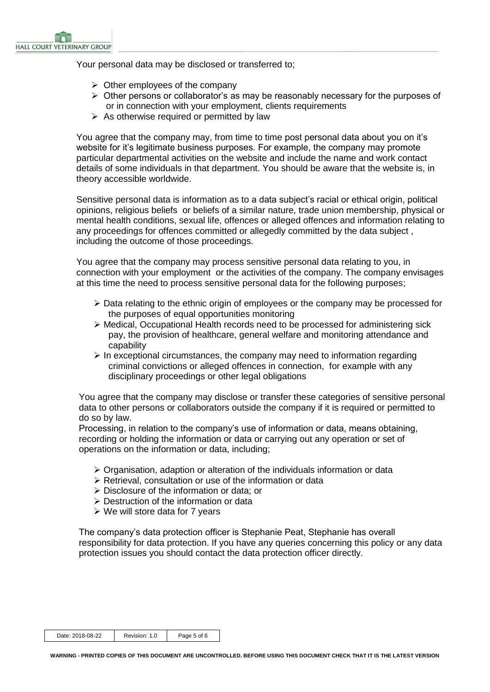Your personal data may be disclosed or transferred to;

- $\triangleright$  Other employees of the company
- ➢ Other persons or collaborator's as may be reasonably necessary for the purposes of or in connection with your employment, clients requirements
- $\triangleright$  As otherwise required or permitted by law

You agree that the company may, from time to time post personal data about you on it's website for it's legitimate business purposes. For example, the company may promote particular departmental activities on the website and include the name and work contact details of some individuals in that department. You should be aware that the website is, in theory accessible worldwide.

Sensitive personal data is information as to a data subject's racial or ethical origin, political opinions, religious beliefs or beliefs of a similar nature, trade union membership, physical or mental health conditions, sexual life, offences or alleged offences and information relating to any proceedings for offences committed or allegedly committed by the data subject , including the outcome of those proceedings.

You agree that the company may process sensitive personal data relating to you, in connection with your employment or the activities of the company. The company envisages at this time the need to process sensitive personal data for the following purposes;

- $\triangleright$  Data relating to the ethnic origin of employees or the company may be processed for the purposes of equal opportunities monitoring
- ➢ Medical, Occupational Health records need to be processed for administering sick pay, the provision of healthcare, general welfare and monitoring attendance and capability
- $\triangleright$  In exceptional circumstances, the company may need to information regarding criminal convictions or alleged offences in connection, for example with any disciplinary proceedings or other legal obligations

You agree that the company may disclose or transfer these categories of sensitive personal data to other persons or collaborators outside the company if it is required or permitted to do so by law.

Processing, in relation to the company's use of information or data, means obtaining, recording or holding the information or data or carrying out any operation or set of operations on the information or data, including;

- ➢ Organisation, adaption or alteration of the individuals information or data
- ➢ Retrieval, consultation or use of the information or data
- ➢ Disclosure of the information or data; or
- ➢ Destruction of the information or data
- ➢ We will store data for 7 years

The company's data protection officer is Stephanie Peat, Stephanie has overall responsibility for data protection. If you have any queries concerning this policy or any data protection issues you should contact the data protection officer directly.

| Date: 2018-08-22 | Revision: 1.0 | Page 5 of 6 |
|------------------|---------------|-------------|
|------------------|---------------|-------------|